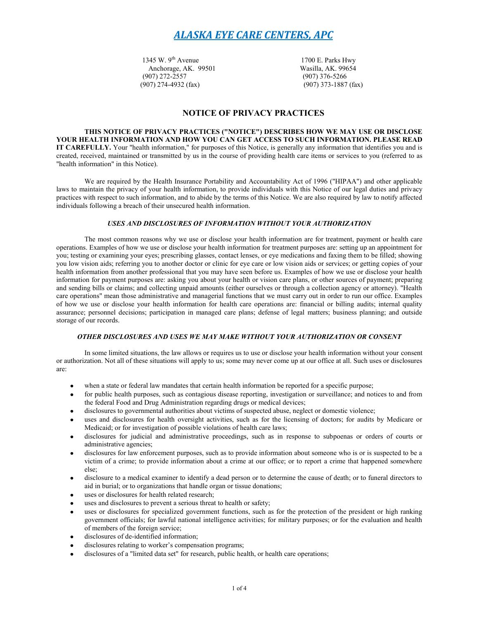1345 W. 9<sup>th</sup> Avenue 1700 E. Parks Hwy<br>Anchorage, AK. 99501 Wasilla, AK. 99654 Anchorage, AK. 99501<br>(907) 272-2557 (907) 274-4932 (fax) (907) 373-1887 (fax)

(907) 376-5266

## **NOTICE OF PRIVACY PRACTICES**

**THIS NOTICE OF PRIVACY PRACTICES ("NOTICE") DESCRIBES HOW WE MAY USE OR DISCLOSE YOUR HEALTH INFORMATION AND HOW YOU CAN GET ACCESS TO SUCH INFORMATION. PLEASE READ IT CAREFULLY.** Your "health information," for purposes of this Notice, is generally any information that identifies you and is created, received, maintained or transmitted by us in the course of providing health care items or services to you (referred to as "health information" in this Notice).

We are required by the Health Insurance Portability and Accountability Act of 1996 ("HIPAA") and other applicable laws to maintain the privacy of your health information, to provide individuals with this Notice of our legal duties and privacy practices with respect to such information, and to abide by the terms of this Notice. We are also required by law to notify affected individuals following a breach of their unsecured health information.

## *USES AND DISCLOSURES OF INFORMATION WITHOUT YOUR AUTHORIZATION*

The most common reasons why we use or disclose your health information are for treatment, payment or health care operations. Examples of how we use or disclose your health information for treatment purposes are: setting up an appointment for you; testing or examining your eyes; prescribing glasses, contact lenses, or eye medications and faxing them to be filled; showing you low vision aids; referring you to another doctor or clinic for eye care or low vision aids or services; or getting copies of your health information from another professional that you may have seen before us. Examples of how we use or disclose your health information for payment purposes are: asking you about your health or vision care plans, or other sources of payment; preparing and sending bills or claims; and collecting unpaid amounts (either ourselves or through a collection agency or attorney). "Health care operations" mean those administrative and managerial functions that we must carry out in order to run our office. Examples of how we use or disclose your health information for health care operations are: financial or billing audits; internal quality assurance; personnel decisions; participation in managed care plans; defense of legal matters; business planning; and outside storage of our records.

### *OTHER DISCLOSURES AND USES WE MAY MAKE WITHOUT YOUR AUTHORIZATION OR CONSENT*

In some limited situations, the law allows or requires us to use or disclose your health information without your consent or authorization. Not all of these situations will apply to us; some may never come up at our office at all. Such uses or disclosures are:

- when a state or federal law mandates that certain health information be reported for a specific purpose;  $\bullet$
- for public health purposes, such as contagious disease reporting, investigation or surveillance; and notices to and from the federal Food and Drug Administration regarding drugs or medical devices;
- disclosures to governmental authorities about victims of suspected abuse, neglect or domestic violence;  $\bullet$
- uses and disclosures for health oversight activities, such as for the licensing of doctors; for audits by Medicare or Medicaid; or for investigation of possible violations of health care laws;
- disclosures for judicial and administrative proceedings, such as in response to subpoenas or orders of courts or administrative agencies;
- disclosures for law enforcement purposes, such as to provide information about someone who is or is suspected to be a victim of a crime; to provide information about a crime at our office; or to report a crime that happened somewhere else;
- disclosure to a medical examiner to identify a dead person or to determine the cause of death; or to funeral directors to aid in burial; or to organizations that handle organ or tissue donations;
- uses or disclosures for health related research;
- uses and disclosures to prevent a serious threat to health or safety;
- uses or disclosures for specialized government functions, such as for the protection of the president or high ranking government officials; for lawful national intelligence activities; for military purposes; or for the evaluation and health of members of the foreign service;
- disclosures of de-identified information;  $\bullet$
- disclosures relating to worker's compensation programs;
- disclosures of a "limited data set" for research, public health, or health care operations;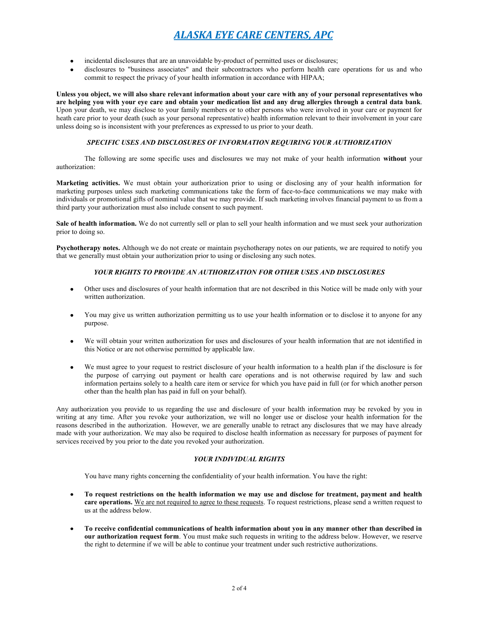- incidental disclosures that are an unavoidable by-product of permitted uses or disclosures; ٠
- disclosures to "business associates" and their subcontractors who perform health care operations for us and who commit to respect the privacy of your health information in accordance with HIPAA;

**Unless you object, we will also share relevant information about your care with any of your personal representatives who are helping you with your eye care and obtain your medication list and any drug allergies through a central data bank**. Upon your death, we may disclose to your family members or to other persons who were involved in your care or payment for heath care prior to your death (such as your personal representative) health information relevant to their involvement in your care unless doing so is inconsistent with your preferences as expressed to us prior to your death.

## *SPECIFIC USES AND DISCLOSURES OF INFORMATION REQUIRING YOUR AUTHORIZATION*

The following are some specific uses and disclosures we may not make of your health information **without** your authorization:

**Marketing activities.** We must obtain your authorization prior to using or disclosing any of your health information for marketing purposes unless such marketing communications take the form of face-to-face communications we may make with individuals or promotional gifts of nominal value that we may provide. If such marketing involves financial payment to us from a third party your authorization must also include consent to such payment.

**Sale of health information.** We do not currently sell or plan to sell your health information and we must seek your authorization prior to doing so.

**Psychotherapy notes.** Although we do not create or maintain psychotherapy notes on our patients, we are required to notify you that we generally must obtain your authorization prior to using or disclosing any such notes.

## *YOUR RIGHTS TO PROVIDE AN AUTHORIZATION FOR OTHER USES AND DISCLOSURES*

- Other uses and disclosures of your health information that are not described in this Notice will be made only with your  $\bullet$ written authorization.
- You may give us written authorization permitting us to use your health information or to disclose it to anyone for any purpose.
- We will obtain your written authorization for uses and disclosures of your health information that are not identified in this Notice or are not otherwise permitted by applicable law.
- We must agree to your request to restrict disclosure of your health information to a health plan if the disclosure is for the purpose of carrying out payment or health care operations and is not otherwise required by law and such information pertains solely to a health care item or service for which you have paid in full (or for which another person other than the health plan has paid in full on your behalf).

Any authorization you provide to us regarding the use and disclosure of your health information may be revoked by you in writing at any time. After you revoke your authorization, we will no longer use or disclose your health information for the reasons described in the authorization. However, we are generally unable to retract any disclosures that we may have already made with your authorization. We may also be required to disclose health information as necessary for purposes of payment for services received by you prior to the date you revoked your authorization.

## *YOUR INDIVIDUAL RIGHTS*

You have many rights concerning the confidentiality of your health information. You have the right:

- **To request restrictions on the health information we may use and disclose for treatment, payment and health care operations.** We are not required to agree to these requests. To request restrictions, please send a written request to us at the address below.
- **To receive confidential communications of health information about you in any manner other than described in our authorization request form**. You must make such requests in writing to the address below. However, we reserve the right to determine if we will be able to continue your treatment under such restrictive authorizations.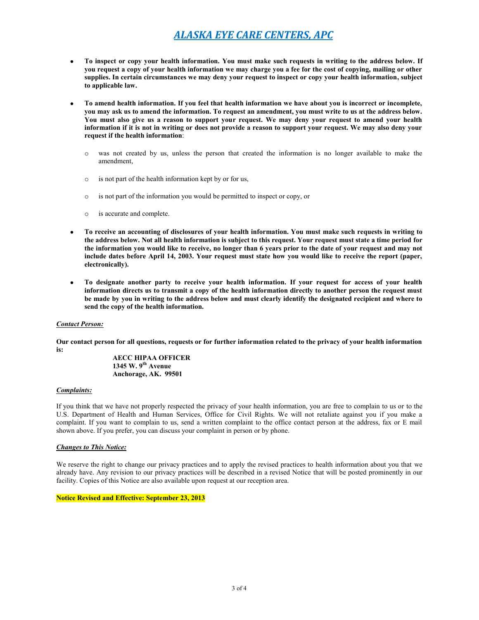- **To inspect or copy your health information. You must make such requests in writing to the address below. If**   $\bullet$ **you request a copy of your health information we may charge you a fee for the cost of copying, mailing or other supplies. In certain circumstances we may deny your request to inspect or copy your health information, subject to applicable law.**
- **To amend health information. If you feel that health information we have about you is incorrect or incomplete, you may ask us to amend the information. To request an amendment, you must write to us at the address below. You must also give us a reason to support your request. We may deny your request to amend your health information if it is not in writing or does not provide a reason to support your request. We may also deny your request if the health information**:
	- o was not created by us, unless the person that created the information is no longer available to make the amendment,
	- o is not part of the health information kept by or for us,
	- o is not part of the information you would be permitted to inspect or copy, or
	- o is accurate and complete.
- **To receive an accounting of disclosures of your health information. You must make such requests in writing to the address below. Not all health information is subject to this request. Your request must state a time period for the information you would like to receive, no longer than 6 years prior to the date of your request and may not include dates before April 14, 2003. Your request must state how you would like to receive the report (paper, electronically).**
- **To designate another party to receive your health information. If your request for access of your health information directs us to transmit a copy of the health information directly to another person the request must be made by you in writing to the address below and must clearly identify the designated recipient and where to send the copy of the health information.**

### *Contact Person:*

**Our contact person for all questions, requests or for further information related to the privacy of your health information is:**

> **AECC HIPAA OFFICER 1345 W. 9th Avenue Anchorage, AK. 99501**

### *Complaints:*

If you think that we have not properly respected the privacy of your health information, you are free to complain to us or to the U.S. Department of Health and Human Services, Office for Civil Rights. We will not retaliate against you if you make a complaint. If you want to complain to us, send a written complaint to the office contact person at the address, fax or E mail shown above. If you prefer, you can discuss your complaint in person or by phone.

### *Changes to This Notice:*

We reserve the right to change our privacy practices and to apply the revised practices to health information about you that we already have. Any revision to our privacy practices will be described in a revised Notice that will be posted prominently in our facility. Copies of this Notice are also available upon request at our reception area.

### **Notice Revised and Effective: September 23, 2013**